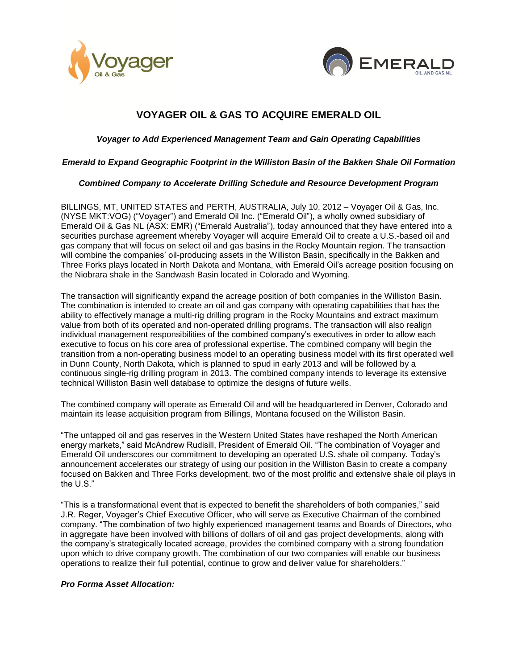



# **VOYAGER OIL & GAS TO ACQUIRE EMERALD OIL**

# *Voyager to Add Experienced Management Team and Gain Operating Capabilities*

## *Emerald to Expand Geographic Footprint in the Williston Basin of the Bakken Shale Oil Formation*

## *Combined Company to Accelerate Drilling Schedule and Resource Development Program*

BILLINGS, MT, UNITED STATES and PERTH, AUSTRALIA, July 10, 2012 – Voyager Oil & Gas, Inc. (NYSE MKT:VOG) ("Voyager") and Emerald Oil Inc. ("Emerald Oil"), a wholly owned subsidiary of Emerald Oil & Gas NL (ASX: EMR) ("Emerald Australia"), today announced that they have entered into a securities purchase agreement whereby Voyager will acquire Emerald Oil to create a U.S.-based oil and gas company that will focus on select oil and gas basins in the Rocky Mountain region. The transaction will combine the companies' oil-producing assets in the Williston Basin, specifically in the Bakken and Three Forks plays located in North Dakota and Montana, with Emerald Oil's acreage position focusing on the Niobrara shale in the Sandwash Basin located in Colorado and Wyoming.

The transaction will significantly expand the acreage position of both companies in the Williston Basin. The combination is intended to create an oil and gas company with operating capabilities that has the ability to effectively manage a multi-rig drilling program in the Rocky Mountains and extract maximum value from both of its operated and non-operated drilling programs. The transaction will also realign individual management responsibilities of the combined company's executives in order to allow each executive to focus on his core area of professional expertise. The combined company will begin the transition from a non-operating business model to an operating business model with its first operated well in Dunn County, North Dakota, which is planned to spud in early 2013 and will be followed by a continuous single-rig drilling program in 2013. The combined company intends to leverage its extensive technical Williston Basin well database to optimize the designs of future wells.

The combined company will operate as Emerald Oil and will be headquartered in Denver, Colorado and maintain its lease acquisition program from Billings, Montana focused on the Williston Basin.

"The untapped oil and gas reserves in the Western United States have reshaped the North American energy markets," said McAndrew Rudisill, President of Emerald Oil. "The combination of Voyager and Emerald Oil underscores our commitment to developing an operated U.S. shale oil company. Today's announcement accelerates our strategy of using our position in the Williston Basin to create a company focused on Bakken and Three Forks development, two of the most prolific and extensive shale oil plays in the U.S."

"This is a transformational event that is expected to benefit the shareholders of both companies," said J.R. Reger, Voyager's Chief Executive Officer, who will serve as Executive Chairman of the combined company. "The combination of two highly experienced management teams and Boards of Directors, who in aggregate have been involved with billions of dollars of oil and gas project developments, along with the company's strategically located acreage, provides the combined company with a strong foundation upon which to drive company growth. The combination of our two companies will enable our business operations to realize their full potential, continue to grow and deliver value for shareholders."

#### *Pro Forma Asset Allocation:*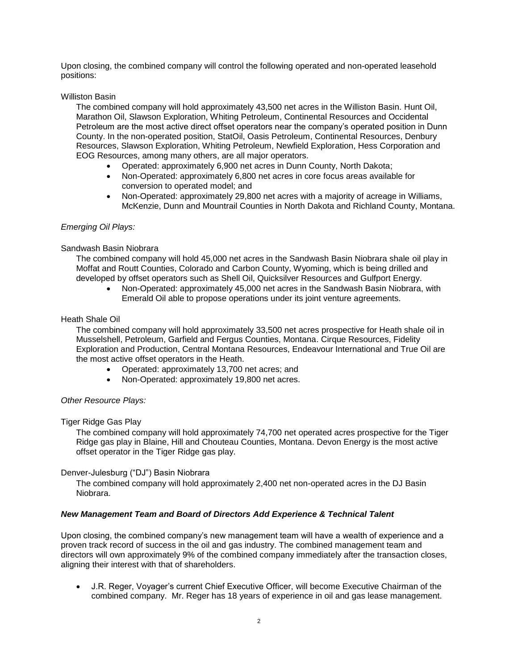Upon closing, the combined company will control the following operated and non-operated leasehold positions:

## Williston Basin

The combined company will hold approximately 43,500 net acres in the Williston Basin. Hunt Oil, Marathon Oil, Slawson Exploration, Whiting Petroleum, Continental Resources and Occidental Petroleum are the most active direct offset operators near the company's operated position in Dunn County. In the non-operated position, StatOil, Oasis Petroleum, Continental Resources, Denbury Resources, Slawson Exploration, Whiting Petroleum, Newfield Exploration, Hess Corporation and EOG Resources, among many others, are all major operators.

- Operated: approximately 6,900 net acres in Dunn County, North Dakota;
- Non-Operated: approximately 6,800 net acres in core focus areas available for conversion to operated model; and
- Non-Operated: approximately 29,800 net acres with a majority of acreage in Williams, McKenzie, Dunn and Mountrail Counties in North Dakota and Richland County, Montana.

## *Emerging Oil Plays:*

#### Sandwash Basin Niobrara

The combined company will hold 45,000 net acres in the Sandwash Basin Niobrara shale oil play in Moffat and Routt Counties, Colorado and Carbon County, Wyoming, which is being drilled and developed by offset operators such as Shell Oil, Quicksilver Resources and Gulfport Energy.

 Non-Operated: approximately 45,000 net acres in the Sandwash Basin Niobrara, with Emerald Oil able to propose operations under its joint venture agreements.

#### Heath Shale Oil

The combined company will hold approximately 33,500 net acres prospective for Heath shale oil in Musselshell, Petroleum, Garfield and Fergus Counties, Montana. Cirque Resources, Fidelity Exploration and Production, Central Montana Resources, Endeavour International and True Oil are the most active offset operators in the Heath.

- Operated: approximately 13,700 net acres; and
- Non-Operated: approximately 19,800 net acres.

#### *Other Resource Plays:*

#### Tiger Ridge Gas Play

The combined company will hold approximately 74,700 net operated acres prospective for the Tiger Ridge gas play in Blaine, Hill and Chouteau Counties, Montana. Devon Energy is the most active offset operator in the Tiger Ridge gas play.

#### Denver-Julesburg ("DJ") Basin Niobrara

The combined company will hold approximately 2,400 net non-operated acres in the DJ Basin Niobrara.

#### *New Management Team and Board of Directors Add Experience & Technical Talent*

Upon closing, the combined company's new management team will have a wealth of experience and a proven track record of success in the oil and gas industry. The combined management team and directors will own approximately 9% of the combined company immediately after the transaction closes, aligning their interest with that of shareholders.

 J.R. Reger, Voyager's current Chief Executive Officer, will become Executive Chairman of the combined company. Mr. Reger has 18 years of experience in oil and gas lease management.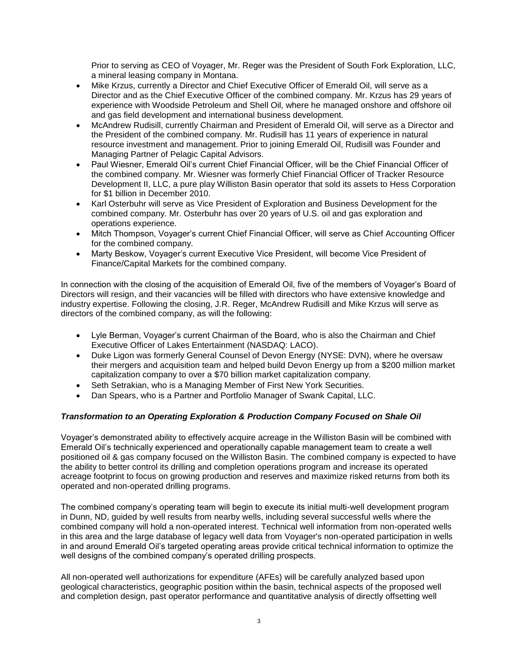Prior to serving as CEO of Voyager, Mr. Reger was the President of South Fork Exploration, LLC, a mineral leasing company in Montana.

- Mike Krzus, currently a Director and Chief Executive Officer of Emerald Oil, will serve as a Director and as the Chief Executive Officer of the combined company. Mr. Krzus has 29 years of experience with Woodside Petroleum and Shell Oil, where he managed onshore and offshore oil and gas field development and international business development.
- McAndrew Rudisill, currently Chairman and President of Emerald Oil, will serve as a Director and the President of the combined company. Mr. Rudisill has 11 years of experience in natural resource investment and management. Prior to joining Emerald Oil, Rudisill was Founder and Managing Partner of Pelagic Capital Advisors.
- Paul Wiesner, Emerald Oil's current Chief Financial Officer, will be the Chief Financial Officer of the combined company. Mr. Wiesner was formerly Chief Financial Officer of Tracker Resource Development II, LLC, a pure play Williston Basin operator that sold its assets to Hess Corporation for \$1 billion in December 2010.
- Karl Osterbuhr will serve as Vice President of Exploration and Business Development for the combined company. Mr. Osterbuhr has over 20 years of U.S. oil and gas exploration and operations experience.
- Mitch Thompson, Voyager's current Chief Financial Officer, will serve as Chief Accounting Officer for the combined company.
- Marty Beskow, Voyager's current Executive Vice President, will become Vice President of Finance/Capital Markets for the combined company.

In connection with the closing of the acquisition of Emerald Oil, five of the members of Voyager's Board of Directors will resign, and their vacancies will be filled with directors who have extensive knowledge and industry expertise. Following the closing, J.R. Reger, McAndrew Rudisill and Mike Krzus will serve as directors of the combined company, as will the following:

- Lyle Berman, Voyager's current Chairman of the Board, who is also the Chairman and Chief Executive Officer of Lakes Entertainment (NASDAQ: LACO).
- Duke Ligon was formerly General Counsel of Devon Energy (NYSE: DVN), where he oversaw their mergers and acquisition team and helped build Devon Energy up from a \$200 million market capitalization company to over a \$70 billion market capitalization company.
- Seth Setrakian, who is a Managing Member of First New York Securities.
- Dan Spears, who is a Partner and Portfolio Manager of Swank Capital, LLC.

# *Transformation to an Operating Exploration & Production Company Focused on Shale Oil*

Voyager's demonstrated ability to effectively acquire acreage in the Williston Basin will be combined with Emerald Oil's technically experienced and operationally capable management team to create a well positioned oil & gas company focused on the Williston Basin. The combined company is expected to have the ability to better control its drilling and completion operations program and increase its operated acreage footprint to focus on growing production and reserves and maximize risked returns from both its operated and non-operated drilling programs.

The combined company's operating team will begin to execute its initial multi-well development program in Dunn, ND, guided by well results from nearby wells, including several successful wells where the combined company will hold a non-operated interest. Technical well information from non-operated wells in this area and the large database of legacy well data from Voyager's non-operated participation in wells in and around Emerald Oil's targeted operating areas provide critical technical information to optimize the well designs of the combined company's operated drilling prospects.

All non-operated well authorizations for expenditure (AFEs) will be carefully analyzed based upon geological characteristics, geographic position within the basin, technical aspects of the proposed well and completion design, past operator performance and quantitative analysis of directly offsetting well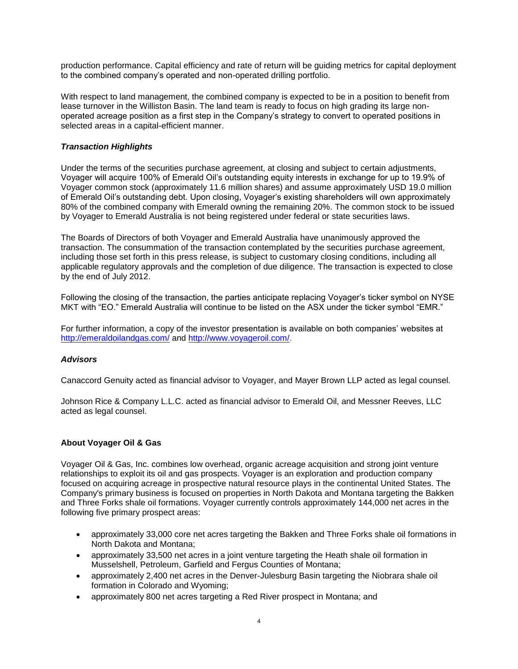production performance. Capital efficiency and rate of return will be guiding metrics for capital deployment to the combined company's operated and non-operated drilling portfolio.

With respect to land management, the combined company is expected to be in a position to benefit from lease turnover in the Williston Basin. The land team is ready to focus on high grading its large nonoperated acreage position as a first step in the Company's strategy to convert to operated positions in selected areas in a capital-efficient manner.

## *Transaction Highlights*

Under the terms of the securities purchase agreement, at closing and subject to certain adjustments, Voyager will acquire 100% of Emerald Oil's outstanding equity interests in exchange for up to 19.9% of Voyager common stock (approximately 11.6 million shares) and assume approximately USD 19.0 million of Emerald Oil's outstanding debt. Upon closing, Voyager's existing shareholders will own approximately 80% of the combined company with Emerald owning the remaining 20%. The common stock to be issued by Voyager to Emerald Australia is not being registered under federal or state securities laws.

The Boards of Directors of both Voyager and Emerald Australia have unanimously approved the transaction. The consummation of the transaction contemplated by the securities purchase agreement, including those set forth in this press release, is subject to customary closing conditions, including all applicable regulatory approvals and the completion of due diligence. The transaction is expected to close by the end of July 2012.

Following the closing of the transaction, the parties anticipate replacing Voyager's ticker symbol on NYSE MKT with "EO." Emerald Australia will continue to be listed on the ASX under the ticker symbol "EMR."

For further information, a copy of the investor presentation is available on both companies' websites at <http://emeraldoilandgas.com/> an[d http://www.voyageroil.com/.](http://www.voyageroil.com/)

#### *Advisors*

Canaccord Genuity acted as financial advisor to Voyager, and Mayer Brown LLP acted as legal counsel.

Johnson Rice & Company L.L.C. acted as financial advisor to Emerald Oil, and Messner Reeves, LLC acted as legal counsel.

#### **About Voyager Oil & Gas**

Voyager Oil & Gas, Inc. combines low overhead, organic acreage acquisition and strong joint venture relationships to exploit its oil and gas prospects. Voyager is an exploration and production company focused on acquiring acreage in prospective natural resource plays in the continental United States. The Company's primary business is focused on properties in North Dakota and Montana targeting the Bakken and Three Forks shale oil formations. Voyager currently controls approximately 144,000 net acres in the following five primary prospect areas:

- approximately 33,000 core net acres targeting the Bakken and Three Forks shale oil formations in North Dakota and Montana;
- approximately 33,500 net acres in a joint venture targeting the Heath shale oil formation in Musselshell, Petroleum, Garfield and Fergus Counties of Montana;
- approximately 2,400 net acres in the Denver-Julesburg Basin targeting the Niobrara shale oil formation in Colorado and Wyoming;
- approximately 800 net acres targeting a Red River prospect in Montana; and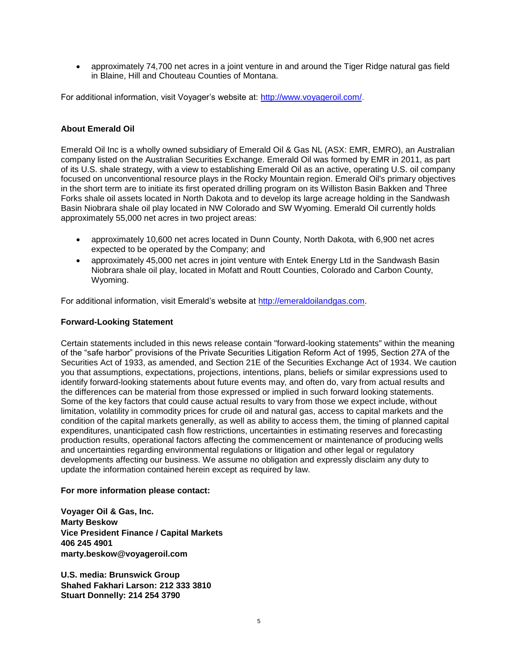approximately 74,700 net acres in a joint venture in and around the Tiger Ridge natural gas field in Blaine, Hill and Chouteau Counties of Montana.

For additional information, visit Voyager's website at: [http://www.voyageroil.com/.](http://www.voyageroil.com/)

#### **About Emerald Oil**

Emerald Oil Inc is a wholly owned subsidiary of Emerald Oil & Gas NL (ASX: EMR, EMRO), an Australian company listed on the Australian Securities Exchange. Emerald Oil was formed by EMR in 2011, as part of its U.S. shale strategy, with a view to establishing Emerald Oil as an active, operating U.S. oil company focused on unconventional resource plays in the Rocky Mountain region. Emerald Oil's primary objectives in the short term are to initiate its first operated drilling program on its Williston Basin Bakken and Three Forks shale oil assets located in North Dakota and to develop its large acreage holding in the Sandwash Basin Niobrara shale oil play located in NW Colorado and SW Wyoming. Emerald Oil currently holds approximately 55,000 net acres in two project areas:

- approximately 10,600 net acres located in Dunn County, North Dakota, with 6,900 net acres expected to be operated by the Company; and
- approximately 45,000 net acres in joint venture with Entek Energy Ltd in the Sandwash Basin Niobrara shale oil play, located in Mofatt and Routt Counties, Colorado and Carbon County, Wyoming.

For additional information, visit Emerald's website at [http://emeraldoilandgas.com.](http://emeraldoilandgas.com/)

#### **Forward-Looking Statement**

Certain statements included in this news release contain "forward-looking statements" within the meaning of the "safe harbor" provisions of the Private Securities Litigation Reform Act of 1995, Section 27A of the Securities Act of 1933, as amended, and Section 21E of the Securities Exchange Act of 1934. We caution you that assumptions, expectations, projections, intentions, plans, beliefs or similar expressions used to identify forward-looking statements about future events may, and often do, vary from actual results and the differences can be material from those expressed or implied in such forward looking statements. Some of the key factors that could cause actual results to vary from those we expect include, without limitation, volatility in commodity prices for crude oil and natural gas, access to capital markets and the condition of the capital markets generally, as well as ability to access them, the timing of planned capital expenditures, unanticipated cash flow restrictions, uncertainties in estimating reserves and forecasting production results, operational factors affecting the commencement or maintenance of producing wells and uncertainties regarding environmental regulations or litigation and other legal or regulatory developments affecting our business. We assume no obligation and expressly disclaim any duty to update the information contained herein except as required by law.

#### **For more information please contact:**

**Voyager Oil & Gas, Inc. Marty Beskow Vice President Finance / Capital Markets 406 245 4901 marty.beskow@voyageroil.com**

**U.S. media: Brunswick Group Shahed Fakhari Larson: 212 333 3810 Stuart Donnelly: 214 254 3790**